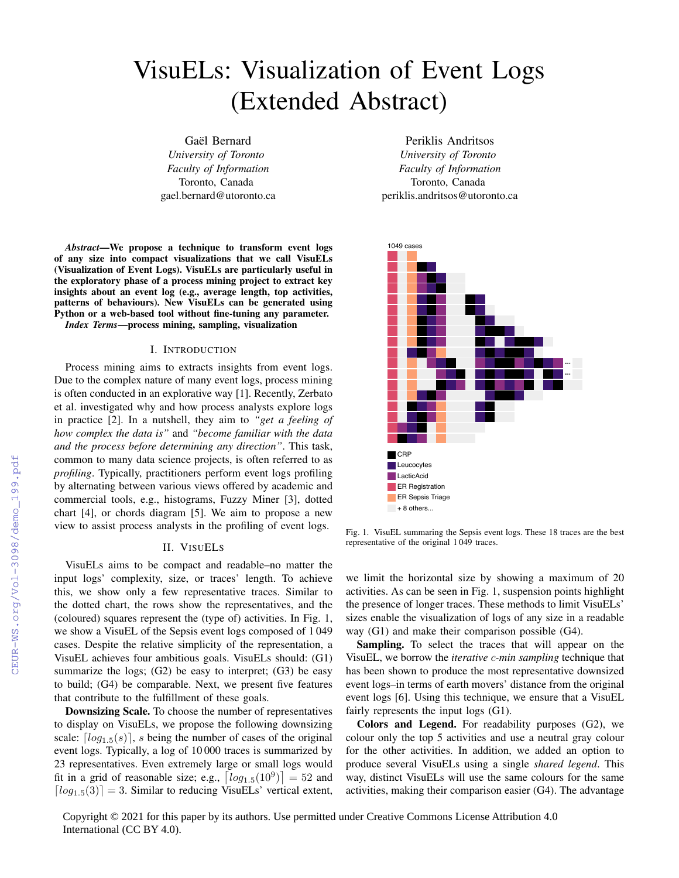# VisuELs: Visualization of Event Logs (Extended Abstract)

Gaël Bernard *University of Toronto Faculty of Information* Toronto, Canada gael.bernard@utoronto.ca

*Abstract*—We propose a technique to transform event logs of any size into compact visualizations that we call VisuELs (Visualization of Event Logs). VisuELs are particularly useful in the exploratory phase of a process mining project to extract key insights about an event log (e.g., average length, top activities, patterns of behaviours). New VisuELs can be generated using Python or a web-based tool without fine-tuning any parameter.

*Index Terms*—process mining, sampling, visualization

## I. INTRODUCTION

Process mining aims to extracts insights from event logs. Due to the complex nature of many event logs, process mining is often conducted in an explorative way [1]. Recently, Zerbato et al. investigated why and how process analysts explore logs in practice [2]. In a nutshell, they aim to *"get a feeling of how complex the data is"* and *"become familiar with the data and the process before determining any direction"*. This task, common to many data science projects, is often referred to as *profiling*. Typically, practitioners perform event logs profiling by alternating between various views offered by academic and commercial tools, e.g., histograms, Fuzzy Miner [3], dotted chart [4], or chords diagram [5]. We aim to propose a new view to assist process analysts in the profiling of event logs.

# II. VISUELS

VisuELs aims to be compact and readable–no matter the input logs' complexity, size, or traces' length. To achieve this, we show only a few representative traces. Similar to the dotted chart, the rows show the representatives, and the (coloured) squares represent the (type of) activities. In Fig. 1, we show a VisuEL of the Sepsis event logs composed of 1 049 cases. Despite the relative simplicity of the representation, a VisuEL achieves four ambitious goals. VisuELs should: (G1) summarize the logs;  $(G2)$  be easy to interpret;  $(G3)$  be easy to build; (G4) be comparable. Next, we present five features that contribute to the fulfillment of these goals.

Downsizing Scale. To choose the number of representatives to display on VisuELs, we propose the following downsizing scale:  $\lceil log_{1.5}(s) \rceil$ , s being the number of cases of the original event logs. Typically, a log of 10 000 traces is summarized by 23 representatives. Even extremely large or small logs would fit in a grid of reasonable size; e.g.,  $[log_{1.5}(10^9)] = 52$  and  $\lceil log_{1.5}(3) \rceil = 3$ . Similar to reducing VisuELs' vertical extent,

Periklis Andritsos *University of Toronto Faculty of Information* Toronto, Canada periklis.andritsos@utoronto.ca



Fig. 1. VisuEL summaring the Sepsis event logs. These 18 traces are the best representative of the original 1 049 traces.

we limit the horizontal size by showing a maximum of 20 activities. As can be seen in Fig. 1, suspension points highlight the presence of longer traces. These methods to limit VisuELs' sizes enable the visualization of logs of any size in a readable way (G1) and make their comparison possible (G4).

Sampling. To select the traces that will appear on the VisuEL, we borrow the *iterative* c*-min sampling* technique that has been shown to produce the most representative downsized event logs–in terms of earth movers' distance from the original event logs [6]. Using this technique, we ensure that a VisuEL fairly represents the input logs (G1).

Colors and Legend. For readability purposes (G2), we colour only the top 5 activities and use a neutral gray colour for the other activities. In addition, we added an option to produce several VisuELs using a single *shared legend*. This way, distinct VisuELs will use the same colours for the same activities, making their comparison easier (G4). The advantage

Copyright © 2021 for this paper by its authors. Use permitted under Creative Commons License Attribution 4.0 International (CC BY 4.0).